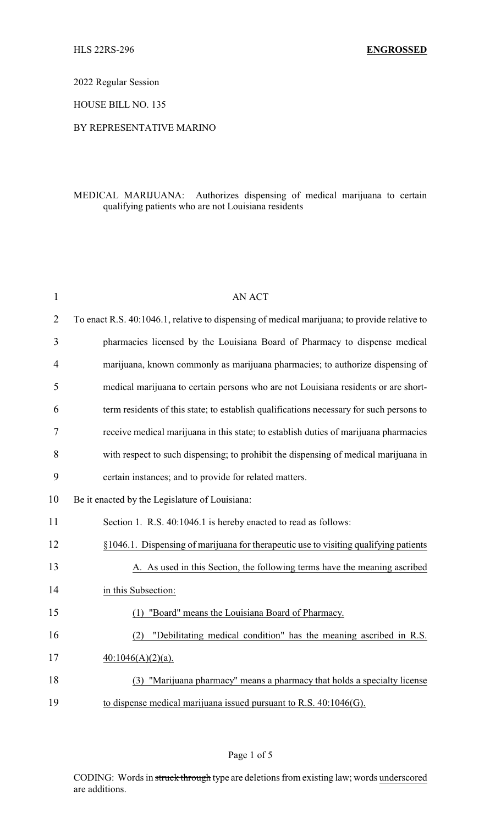2022 Regular Session

HOUSE BILL NO. 135

## BY REPRESENTATIVE MARINO

## MEDICAL MARIJUANA: Authorizes dispensing of medical marijuana to certain qualifying patients who are not Louisiana residents

| $\mathbf{1}$   | <b>AN ACT</b>                                                                                |
|----------------|----------------------------------------------------------------------------------------------|
| $\overline{2}$ | To enact R.S. 40:1046.1, relative to dispensing of medical marijuana; to provide relative to |
| 3              | pharmacies licensed by the Louisiana Board of Pharmacy to dispense medical                   |
| $\overline{4}$ | marijuana, known commonly as marijuana pharmacies; to authorize dispensing of                |
| 5              | medical marijuana to certain persons who are not Louisiana residents or are short-           |
| 6              | term residents of this state; to establish qualifications necessary for such persons to      |
| 7              | receive medical marijuana in this state; to establish duties of marijuana pharmacies         |
| 8              | with respect to such dispensing; to prohibit the dispensing of medical marijuana in          |
| 9              | certain instances; and to provide for related matters.                                       |
| 10             | Be it enacted by the Legislature of Louisiana:                                               |
| 11             | Section 1. R.S. 40:1046.1 is hereby enacted to read as follows:                              |
| 12             | §1046.1. Dispensing of marijuana for therapeutic use to visiting qualifying patients         |
| 13             | A. As used in this Section, the following terms have the meaning ascribed                    |
| 14             | in this Subsection:                                                                          |
| 15             | "Board" means the Louisiana Board of Pharmacy.<br>(1)                                        |
| 16             | "Debilitating medical condition" has the meaning ascribed in R.S.<br>(2)                     |
| 17             | $40:1046(A)(2)(a)$ .                                                                         |
| 18             | (3) "Marijuana pharmacy" means a pharmacy that holds a specialty license                     |
| 19             | to dispense medical marijuana issued pursuant to R.S. $40:1046(G)$ .                         |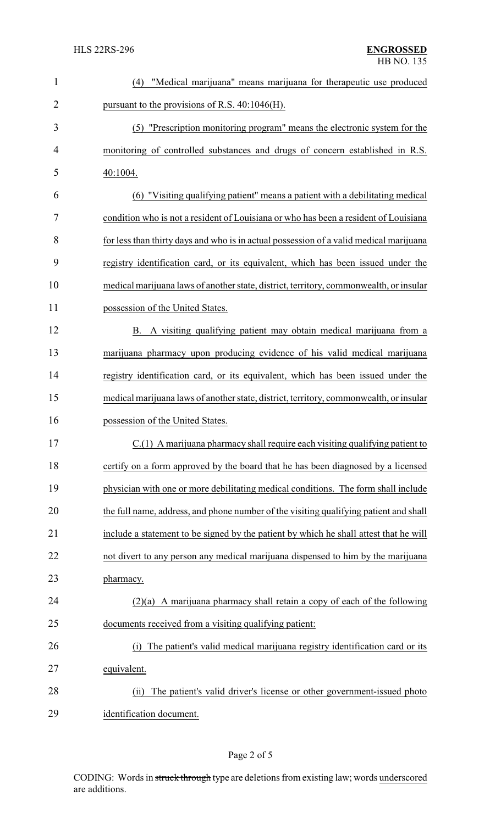| $\mathbf{1}$ | "Medical marijuana" means marijuana for therapeutic use produced<br>(4)                |
|--------------|----------------------------------------------------------------------------------------|
| 2            | pursuant to the provisions of R.S. $40:1046$ (H).                                      |
| 3            | (5) "Prescription monitoring program" means the electronic system for the              |
| 4            | monitoring of controlled substances and drugs of concern established in R.S.           |
| 5            | 40:1004.                                                                               |
| 6            | (6) "Visiting qualifying patient" means a patient with a debilitating medical          |
| 7            | condition who is not a resident of Louisiana or who has been a resident of Louisiana   |
| 8            | for less than thirty days and who is in actual possession of a valid medical marijuana |
| 9            | registry identification card, or its equivalent, which has been issued under the       |
| 10           | medical marijuana laws of another state, district, territory, commonwealth, or insular |
| 11           | possession of the United States.                                                       |
| 12           | A visiting qualifying patient may obtain medical marijuana from a<br>В.                |
| 13           | marijuana pharmacy upon producing evidence of his valid medical marijuana              |
| 14           | registry identification card, or its equivalent, which has been issued under the       |
| 15           | medical marijuana laws of another state, district, territory, commonwealth, or insular |
| 16           | possession of the United States.                                                       |
| 17           | $C(1)$ A marijuana pharmacy shall require each visiting qualifying patient to          |
| 18           | certify on a form approved by the board that he has been diagnosed by a licensed       |
| 19           | physician with one or more debilitating medical conditions. The form shall include     |
| 20           | the full name, address, and phone number of the visiting qualifying patient and shall  |
| 21           | include a statement to be signed by the patient by which he shall attest that he will  |
| 22           | not divert to any person any medical marijuana dispensed to him by the marijuana       |
| 23           | pharmacy.                                                                              |
| 24           | $(2)(a)$ A marijuana pharmacy shall retain a copy of each of the following             |
| 25           | documents received from a visiting qualifying patient:                                 |
| 26           | The patient's valid medical marijuana registry identification card or its<br>(i)       |
| 27           | equivalent.                                                                            |
| 28           | The patient's valid driver's license or other government-issued photo<br>(ii)          |
| 29           | identification document.                                                               |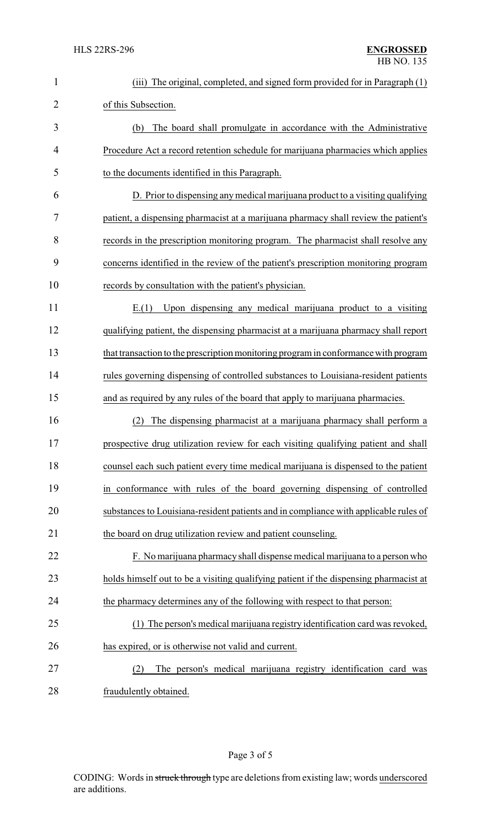| 1              | (iii) The original, completed, and signed form provided for in Paragraph (1)          |
|----------------|---------------------------------------------------------------------------------------|
| $\overline{2}$ | of this Subsection.                                                                   |
| 3              | The board shall promulgate in accordance with the Administrative<br>(b)               |
| 4              | Procedure Act a record retention schedule for marijuana pharmacies which applies      |
| 5              | to the documents identified in this Paragraph.                                        |
| 6              | D. Prior to dispensing any medical marijuana product to a visiting qualifying         |
| 7              | patient, a dispensing pharmacist at a marijuana pharmacy shall review the patient's   |
| 8              | records in the prescription monitoring program. The pharmacist shall resolve any      |
| 9              | concerns identified in the review of the patient's prescription monitoring program    |
| 10             | records by consultation with the patient's physician.                                 |
| 11             | Upon dispensing any medical marijuana product to a visiting<br>E(1)                   |
| 12             | qualifying patient, the dispensing pharmacist at a marijuana pharmacy shall report    |
| 13             | that transaction to the prescription monitoring program in conformance with program   |
| 14             | rules governing dispensing of controlled substances to Louisiana-resident patients    |
| 15             | and as required by any rules of the board that apply to marijuana pharmacies.         |
| 16             | The dispensing pharmacist at a marijuana pharmacy shall perform a<br>(2)              |
| 17             | prospective drug utilization review for each visiting qualifying patient and shall    |
| 18             | counsel each such patient every time medical marijuana is dispensed to the patient    |
| 19             | in conformance with rules of the board governing dispensing of controlled             |
| 20             | substances to Louisiana-resident patients and in compliance with applicable rules of  |
| 21             | the board on drug utilization review and patient counseling.                          |
| 22             | F. No marijuana pharmacy shall dispense medical marijuana to a person who             |
| 23             | holds himself out to be a visiting qualifying patient if the dispensing pharmacist at |
| 24             | the pharmacy determines any of the following with respect to that person:             |
| 25             | (1) The person's medical marijuana registry identification card was revoked,          |
| 26             | has expired, or is otherwise not valid and current.                                   |
| 27             | The person's medical marijuana registry identification card was<br>(2)                |
| 28             | fraudulently obtained.                                                                |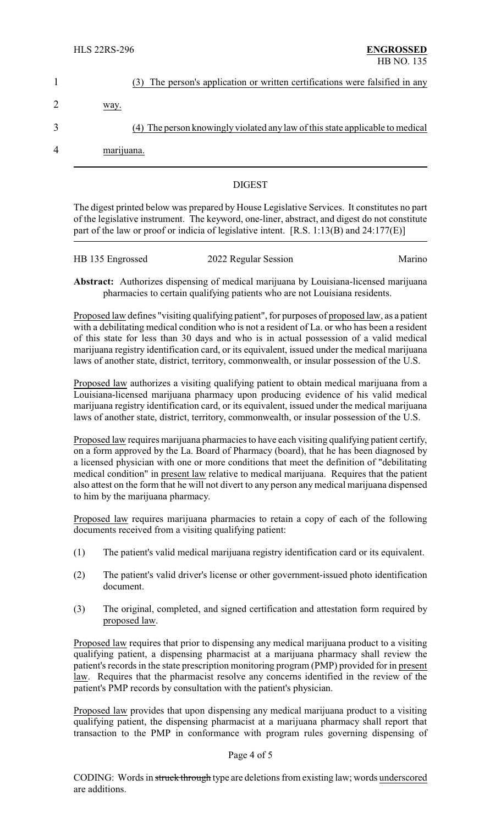|                | (3) The person's application or written certifications were falsified in any  |
|----------------|-------------------------------------------------------------------------------|
| 2              | way.                                                                          |
| 3              | (4) The person knowingly violated any law of this state applicable to medical |
| $\overline{4}$ | marijuana.                                                                    |
|                |                                                                               |

## DIGEST

The digest printed below was prepared by House Legislative Services. It constitutes no part of the legislative instrument. The keyword, one-liner, abstract, and digest do not constitute part of the law or proof or indicia of legislative intent. [R.S. 1:13(B) and 24:177(E)]

| HB 135 Engrossed | 2022 Regular Session | Marino |
|------------------|----------------------|--------|

**Abstract:** Authorizes dispensing of medical marijuana by Louisiana-licensed marijuana pharmacies to certain qualifying patients who are not Louisiana residents.

Proposed law defines "visiting qualifying patient", for purposes of proposed law, as a patient with a debilitating medical condition who is not a resident of La. or who has been a resident of this state for less than 30 days and who is in actual possession of a valid medical marijuana registry identification card, or its equivalent, issued under the medical marijuana laws of another state, district, territory, commonwealth, or insular possession of the U.S.

Proposed law authorizes a visiting qualifying patient to obtain medical marijuana from a Louisiana-licensed marijuana pharmacy upon producing evidence of his valid medical marijuana registry identification card, or its equivalent, issued under the medical marijuana laws of another state, district, territory, commonwealth, or insular possession of the U.S.

Proposed law requires marijuana pharmacies to have each visiting qualifying patient certify, on a form approved by the La. Board of Pharmacy (board), that he has been diagnosed by a licensed physician with one or more conditions that meet the definition of "debilitating medical condition" in present law relative to medical marijuana. Requires that the patient also attest on the form that he will not divert to any person any medical marijuana dispensed to him by the marijuana pharmacy.

Proposed law requires marijuana pharmacies to retain a copy of each of the following documents received from a visiting qualifying patient:

- (1) The patient's valid medical marijuana registry identification card or its equivalent.
- (2) The patient's valid driver's license or other government-issued photo identification document.
- (3) The original, completed, and signed certification and attestation form required by proposed law.

Proposed law requires that prior to dispensing any medical marijuana product to a visiting qualifying patient, a dispensing pharmacist at a marijuana pharmacy shall review the patient's records in the state prescription monitoring program (PMP) provided for in present law. Requires that the pharmacist resolve any concerns identified in the review of the patient's PMP records by consultation with the patient's physician.

Proposed law provides that upon dispensing any medical marijuana product to a visiting qualifying patient, the dispensing pharmacist at a marijuana pharmacy shall report that transaction to the PMP in conformance with program rules governing dispensing of

## Page 4 of 5